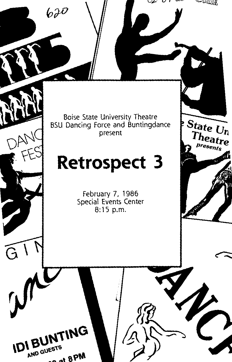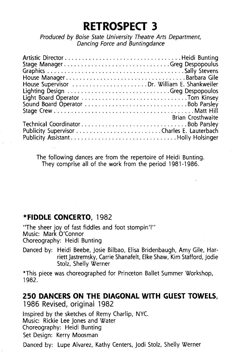# **RETROSPECT 3**

Produced by Boise State University Theatre Arts Department, Dancing Force and Buntingdance

| House ManagerBarbara Gile                    |                          |
|----------------------------------------------|--------------------------|
| House Supervisor  Dr. William E. Shankweiler |                          |
|                                              |                          |
|                                              |                          |
|                                              |                          |
|                                              |                          |
|                                              | <b>Brian Crosthwaite</b> |
|                                              |                          |
|                                              |                          |
|                                              |                          |

The following dances are from the repertoire of Heidi Bunting. They comprise all of the work from the period 1981-1986.

# **\*FIDDLE CONCERTO,** 1982

"The sheer joy of fast fiddles and foot stompin'!" Music: Mark O'Connor Choreography: Heidi Bunting

Danced by: Heidi Beebe, Josie Bilbao, Elisa Bridenbaugh, Amy Gile, Harriett Jastremsky, Carrie Shanafelt, Elke Shaw, Kim Stafford, Jodie Stolz, Shelly Werner

\*This piece was choreographed for Princeton Ballet Summer Workshop, 1982.

#### **250 DANCERS ON THE DIAGONAL WITH GUEST TOWELS,**  1986 Revised, original 1982

Inspired by the sketches of Remy Charlip, NYC. Music: Rickie Lee Jones and Water Choreography: Heidi Bunting Set Design: Kerry Moosman

Danced by: Lupe Alvarez, Kathy Centers, Jodi Stolz, Shelly Werner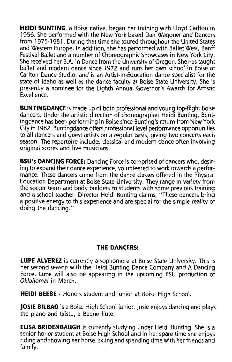**HEIDI BUNTING,** a Boise native, began her training with Lloyd Carlton in 1956. She performed with the New York based Dan Wagoner and Dancers from 1975-1981. During that time she toured throughout the United States and Western Europe. In addition, she has performed with Ballet West, Banff Festival Ballet and a number of Choreographic Showcases in New York City. She received her B.A. in Dance from the University of Oregon. She has taught ballet and modern dance since 1972 and runs her own school in Boise at Carlton Dance Studio, and is an Artist-In-Education dance specialist for the state of Idaho as well as the dance faculty at Boise State University. She is presently a nominee for the Eighth Annual Governor's Awards for Artistic Excellence.

**BUNTINGDANCE** is made up of both professional and young top-flight Boise dancers. Under the artistic direction of choreographer Heidi Bunting, Buntingdance has been performing in Boise since Bunting's return from New York City in 1982. Buntingdance offers professional level performance opportunities to all dancers and guest artists on a regular basis, giving two concerts each season. The repertoire includes classical and modern dance often involving original scores and live musicians.

**BSU"s DANCING FORCE:** Dancing Force is comprised of dancers who, desiring to expand their dance experience, volunteered to work towards a performance. These dancers come from the dance classes offered in the Physical Education Department at Boise State University. They range in variety from the soccer team and body builders to students with some previous training and a school teacher. Director Heidi Bunting claims, "These dancers bring a positive energy to this experience and are special for the simple reality of doing the dancing."

#### **THE DANCERS:**

**LUPE ALVEREZ** is currently a sophomore at Boise State University. This is her second season with the Heidi Bunting Dance Company and A Dancing Force. Lupe will also be appearing in the upcoming BSU production of Oklahoma! in March.

**HEIDI BEEBE** - Honors student and junior at Boise High School.

**JOSIE BILBAO** is a Boise High School junior. Josie enjoys dancing and plays the piano and txistu, a Baque flute.

**ELISA BRIDENBAUGH** is currently studying under Heidi Bunting. She is a senior honor student at Boise High School and in her spare time she enjoys riding and showing her horse, skiing and spending time with her friends and family.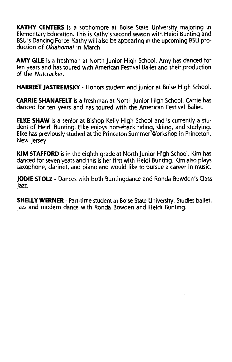**KATHY CENTERS** is a sophomore at Boise State University majoring in Elementary Education. This is Kathy's second season with Heidi Bunting and BSU's Dancing Force. Kathy will also be appearing in the upcoming BSU production of Oklahoma! in March.

**AMY GILE** is a freshman at North Junior High School. Amy has danced for ten years and has toured with American Festival Ballet and their production of the Nutcracker.

**HARRIET JASTREMSKY-** Honors student and junior at Boise High School.

**CARRIE SHANAFELT** is a freshman at North Junior High School. Carrie has danced for ten years and has toured with the American Festival Ballet.

**ELKE SHAW** is a senior at Bishop Kelly High School and is currently a student of Heidi Bunting. Elke enjoys horseback riding, skiing, and studying. Elke has previously studied at the Princeton Summer Workshop in Princeton, New Jersey.

**KIM STAFFORD** is in the eighth grade at North Junior High School. Kim has danced for seven years and this is her first with Heidi Bunting. Kim also plays saxophone, clarinet, and piano and would like to pursue a career in music.

**JODIE STOLZ-** Dances with both Buntingdance and Ronda Bowden's Class Jazz.

**SHELLY WERNER-** Part-time student at Boise State University. Studies ballet, jazz and modern dance with Ronda Bowden and Heidi Bunting.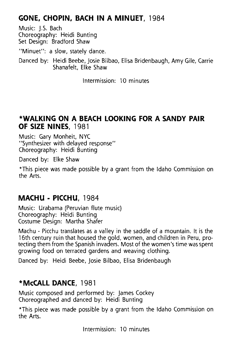# **GONE. CHOPIN. BACH IN A MINUET,** 1984

Music: J.S. Bach Choreography: Heidi Bunting Set Design: Bradford Shaw

"Minuet": a slow, stately dance.

Danced by: Heidi Beebe, Josie Bilbao, Elisa Bridenbaugh, Amy Gile, Carrie Shanafelt, Elke Shaw

Intermission: 10 minutes

#### **\*WALKING ON A BEACH LOOKING FOR A SANDY PAIR OF SIZE NINES,** 1981

Music: Gary Monheit, NYC "Synthesizer with delayed response" Choreography: Heidi Bunting

Danced by: Elke Shaw

\*This piece was made possible by a grant from the Idaho Commission on the Arts.

# **MACHU- PICCHU,** 1984

Music: Urabama (Peruvian flute music) Choreography: Heidi Bunting Costume Design: Martha Shafer

Machu - Picchu translates as a valley in the saddle of a mountain. It is the 16th century ruin that housed the gold, women, and children in Peru, protecting them from the Spanish invaders. Most of the women's time was spent growing food on terraced gardens and weaving clothing.

Danced by: Heidi Beebe, Josie Bilbao, Elisa Bridenbaugh

# **\*McCALL DANCE,** 1981

Music composed and performed by: James Cockey Choreographed and danced by: Heidi Bunting

\*This piece was made possible by a grant from the Idaho Commission on the Arts.

Intermission: 10 minutes